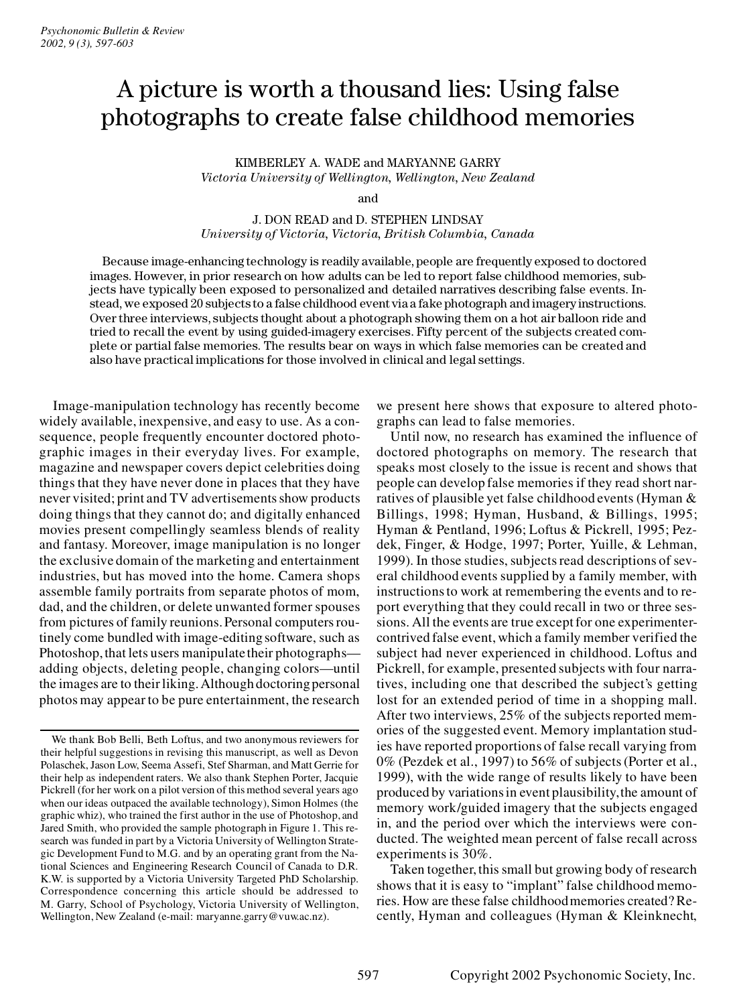## A picture is worth a thousand lies: Using false photographs to create false childhood memories

KIMBERLEY A. WADE and MARYANNE GARRY *Victoria University of Wellington, Wellington, New Zealand*

and

J. DON READ and D. STEPHEN LINDSAY *University of Victoria, Victoria, British Columbia, Canada*

Because image-enhancing technology is readily available, people are frequently exposed to doctored images. However, in prior research on how adults can be led to report false childhood memories, subjects have typically been exposed to personalized and detailed narratives describing false events. Instead, we exposed 20 subjects to a false childhood event via a fake photograph and imagery instructions. Over three interviews, subjects thought about a photograph showing them on a hot air balloon ride and tried to recall the event by using guided-imagery exercises. Fifty percent of the subjects created complete or partial false memories. The results bear on ways in which false memories can be created and also have practical implications for those involved in clinical and legal settings.

Image-manipulation technology has recently become widely available, inexpensive, and easy to use. As a consequence, people frequently encounter doctored photographic images in their everyday lives. For example, magazine and newspaper covers depict celebrities doing things that they have never done in places that they have never visited; print and TV advertisements show products doing things that they cannot do; and digitally enhanced movies present compellingly seamless blends of reality and fantasy. Moreover, image manipulation is no longer the exclusive domain of the marketing and entertainment industries, but has moved into the home. Camera shops assemble family portraits from separate photos of mom, dad, and the children, or delete unwanted former spouses from pictures of family reunions. Personal computers routinely come bundled with image-editing software, such as Photoshop, that lets users manipulate their photographsadding objects, deleting people, changing colors—until the images are to their liking. Although doctoring personal photos may appear to be pure entertainment, the research we present here shows that exposure to altered photographs can lead to false memories.

Until now, no research has examined the influence of doctored photographs on memory. The research that speaks most closely to the issue is recent and shows that people can develop false memories if they read short narratives of plausible yet false childhood events (Hyman & Billings, 1998; Hyman, Husband, & Billings, 1995; Hyman & Pentland, 1996; Loftus & Pickrell, 1995; Pezdek, Finger, & Hodge, 1997; Porter, Yuille, & Lehman, 1999). In those studies, subjects read descriptions of several childhood events supplied by a family member, with instructions to work at remembering the events and to report everything that they could recall in two or three sessions. All the events are true except for one experimentercontrived false event, which a family member verified the subject had never experienced in childhood. Loftus and Pickrell, for example, presented subjects with four narratives, including one that described the subject's getting lost for an extended period of time in a shopping mall. After two interviews, 25% of the subjects reported memories of the suggested event. Memory implantation studies have reported proportions of false recall varying from 0% (Pezdek et al., 1997) to 56% of subjects (Porter et al., 1999), with the wide range of results likely to have been produced by variationsin event plausibility,the amount of memory work/guided imagery that the subjects engaged in, and the period over which the interviews were conducted. The weighted mean percent of false recall across experiments is 30%.

Taken together, this small but growing body of research shows that it is easy to "implant" false childhood memories. How are these false childhoodmemories created? Recently, Hyman and colleagues (Hyman & Kleinknecht,

We thank Bob Belli, Beth Loftus, and two anonymous reviewers for their helpful suggestions in revising this manuscript, as well as Devon Polaschek, Jason Low, Seema Assefi, Stef Sharman, and Matt Gerrie for their help as independent raters. We also thank Stephen Porter, Jacquie Pickrell (for her work on a pilot version of this method several years ago when our ideas outpaced the available technology), Simon Holmes (the graphic whiz), who trained the first author in the use of Photoshop, and Jared Smith, who provided the sample photograph in Figure 1. This research was funded in part by a Victoria University of Wellington Strategic Development Fund to M.G. and by an operating grant from the National Sciences and Engineering Research Council of Canada to D.R. K.W. is supported by a Victoria University Targeted PhD Scholarship. Correspondence concerning this article should be addressed to M. Garry, School of Psychology, Victoria University of Wellington, Wellington, New Zealand (e-mail: maryanne.garry@vuw.ac.nz).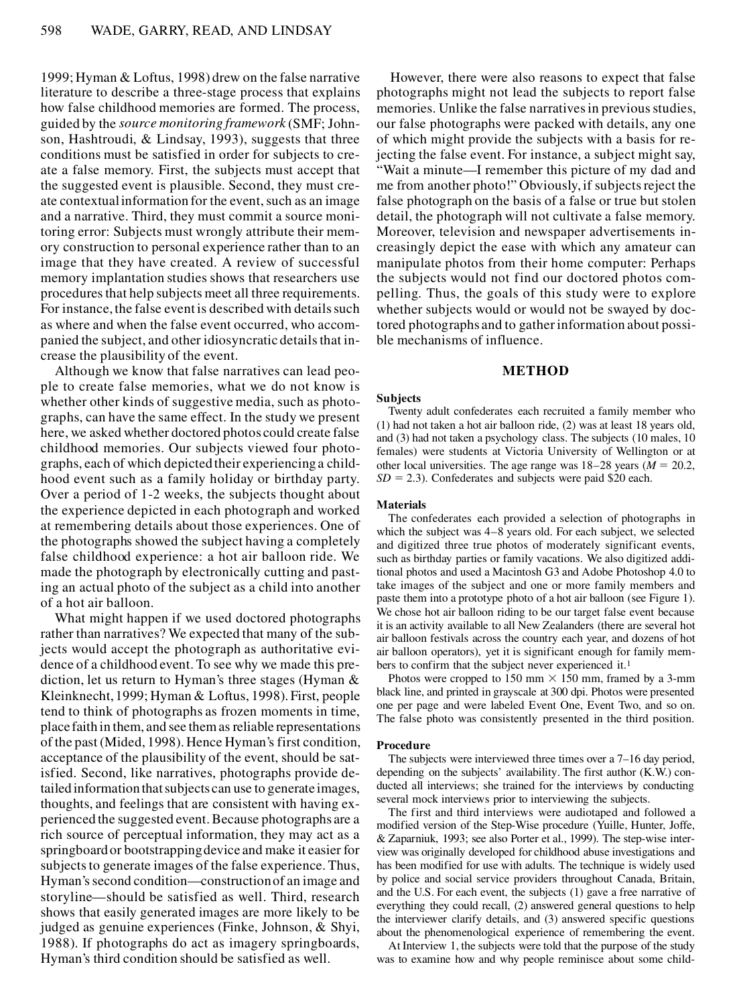1999; Hyman & Loftus, 1998) drew on the false narrative literature to describe a three-stage process that explains how false childhood memories are formed. The process, guided by the *source monitoring framework* (SMF; Johnson, Hashtroudi, & Lindsay, 1993), suggests that three conditions must be satisfied in order for subjects to create a false memory. First, the subjects must accept that the suggested event is plausible. Second, they must create contextualinformation for the event, such as an image and a narrative. Third, they must commit a source monitoring error: Subjects must wrongly attribute their memory construction to personal experience rather than to an image that they have created. A review of successful memory implantation studies shows that researchers use procedures that help subjects meet all three requirements. For instance, the false event is described with details such as where and when the false event occurred, who accompanied the subject, and other idiosyncratic details that increase the plausibility of the event.

Although we know that false narratives can lead people to create false memories, what we do not know is whether other kinds of suggestive media, such as photographs, can have the same effect. In the study we present here, we asked whether doctored photos could create false childhood memories. Our subjects viewed four photographs, each of which depictedtheir experiencing a childhood event such as a family holiday or birthday party. Over a period of 1-2 weeks, the subjects thought about the experience depicted in each photograph and worked at remembering details about those experiences. One of the photographs showed the subject having a completely false childhood experience: a hot air balloon ride. We made the photograph by electronically cutting and pasting an actual photo of the subject as a child into another of a hot air balloon.

What might happen if we used doctored photographs rather than narratives? We expected that many of the subjects would accept the photograph as authoritative evidence of a childhood event. To see why we made this prediction, let us return to Hyman's three stages (Hyman & Kleinknecht, 1999; Hyman & Loftus, 1998). First, people tend to think of photographs as frozen moments in time, place faith in them, and see them as reliable representations of the past (Mided, 1998). Hence Hyman's first condition, acceptance of the plausibility of the event, should be satisfied. Second, like narratives, photographs provide detailed information that subjects can use to generate images, thoughts, and feelings that are consistent with having experienced the suggested event. Because photographs are a rich source of perceptual information, they may act as a springboard or bootstrappingdevice and make it easier for subjects to generate images of the false experience. Thus, Hyman's second condition—construction of an image and storyline—should be satisfied as well. Third, research shows that easily generated images are more likely to be judged as genuine experiences (Finke, Johnson, & Shyi, 1988). If photographs do act as imagery springboards, Hyman's third condition should be satisfied as well.

However, there were also reasons to expect that false photographs might not lead the subjects to report false memories. Unlike the false narratives in previous studies, our false photographs were packed with details, any one of which might provide the subjects with a basis for rejecting the false event. For instance, a subject might say, "Wait a minute—I remember this picture of my dad and me from another photo!" Obviously, if subjects reject the false photograph on the basis of a false or true but stolen detail, the photograph will not cultivate a false memory. Moreover, television and newspaper advertisements increasingly depict the ease with which any amateur can manipulate photos from their home computer: Perhaps the subjects would not find our doctored photos compelling. Thus, the goals of this study were to explore whether subjects would or would not be swayed by doctored photographs and to gather information about possible mechanisms of influence.

## **METHOD**

#### **Subjects**

Twenty adult confederates each recruited a family member who (1) had not taken a hot air balloon ride, (2) was at least 18 years old, and (3) had not taken a psychology class. The subjects (10 males, 10 females) were students at Victoria University of Wellington or at other local universities. The age range was  $18-28$  years ( $M = 20.2$ ,  $SD = 2.3$ ). Confederates and subjects were paid \$20 each.

#### **Materials**

The confederates each provided a selection of photographs in which the subject was 4–8 years old. For each subject, we selected and digitized three true photos of moderately significant events, such as birthday parties or family vacations. We also digitized additional photos and used a Macintosh G3 and Adobe Photoshop 4.0 to take images of the subject and one or more family members and paste them into a prototype photo of a hot air balloon (see Figure 1). We chose hot air balloon riding to be our target false event because it is an activity available to all New Zealanders (there are several hot air balloon festivals across the country each year, and dozens of hot air balloon operators), yet it is significant enough for family members to confirm that the subject never experienced it.<sup>1</sup>

Photos were cropped to 150 mm  $\times$  150 mm, framed by a 3-mm black line, and printed in grayscale at 300 dpi. Photos were presented one per page and were labeled Event One, Event Two, and so on. The false photo was consistently presented in the third position.

#### **Procedure**

The subjects were interviewed three times over a 7–16 day period, depending on the subjects' availability. The first author (K.W.) conducted all interviews; she trained for the interviews by conducting several mock interviews prior to interviewing the subjects.

The first and third interviews were audiotaped and followed a modified version of the Step-Wise procedure (Yuille, Hunter, Joffe, & Zaparniuk, 1993; see also Porter et al., 1999). The step-wise interview was originally developed for childhood abuse investigations and has been modified for use with adults. The technique is widely used by police and social service providers throughout Canada, Britain, and the U.S. For each event, the subjects (1) gave a free narrative of everything they could recall, (2) answered general questions to help the interviewer clarify details, and (3) answered specific questions about the phenomenological experience of remembering the event.

At Interview 1, the subjects were told that the purpose of the study was to examine how and why people reminisce about some child-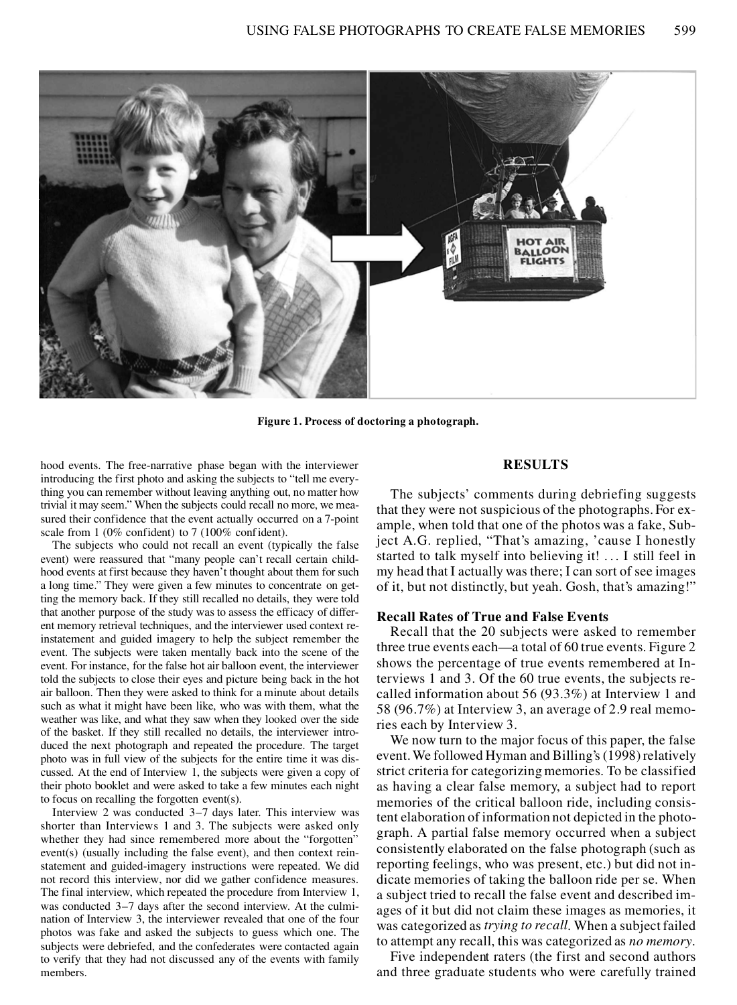

**Figure 1. Process of doctoring a photograph.**

hood events. The free-narrative phase began with the interviewer introducing the first photo and asking the subjects to "tell me everything you can remember without leaving anything out, no matter how trivial it may seem." When the subjects could recall no more, we measured their confidence that the event actually occurred on a 7-point scale from 1 (0% confident) to 7 (100% confident).

The subjects who could not recall an event (typically the false event) were reassured that "many people can't recall certain childhood events at first because they haven't thought about them for such a long time." They were given a few minutes to concentrate on getting the memory back. If they still recalled no details, they were told that another purpose of the study was to assess the efficacy of different memory retrieval techniques, and the interviewer used context reinstatement and guided imagery to help the subject remember the event. The subjects were taken mentally back into the scene of the event. For instance, for the false hot air balloon event, the interviewer told the subjects to close their eyes and picture being back in the hot air balloon. Then they were asked to think for a minute about details such as what it might have been like, who was with them, what the weather was like, and what they saw when they looked over the side of the basket. If they still recalled no details, the interviewer introduced the next photograph and repeated the procedure. The target photo was in full view of the subjects for the entire time it was discussed. At the end of Interview 1, the subjects were given a copy of their photo booklet and were asked to take a few minutes each night to focus on recalling the forgotten event(s).

Interview 2 was conducted 3–7 days later. This interview was shorter than Interviews 1 and 3. The subjects were asked only whether they had since remembered more about the "forgotten" event(s) (usually including the false event), and then context reinstatement and guided-imagery instructions were repeated. We did not record this interview, nor did we gather confidence measures. The final interview, which repeated the procedure from Interview 1, was conducted 3–7 days after the second interview. At the culmination of Interview 3, the interviewer revealed that one of the four photos was fake and asked the subjects to guess which one. The subjects were debriefed, and the confederates were contacted again to verify that they had not discussed any of the events with family members.

# **RESULTS**

The subjects' comments during debriefing suggests that they were not suspicious of the photographs. For example, when told that one of the photos was a fake, Subject A.G. replied, "That's amazing, 'cause I honestly started to talk myself into believing it! . . . I still feel in my head that I actually was there; I can sort of see images of it, but not distinctly, but yeah. Gosh, that's amazing!"

## **Recall Rates of True and False Events**

Recall that the 20 subjects were asked to remember three true events each—a total of 60 true events. Figure 2 shows the percentage of true events remembered at Interviews 1 and 3. Of the 60 true events, the subjects recalled information about 56 (93.3%) at Interview 1 and 58 (96.7%) at Interview 3, an average of 2.9 real memories each by Interview 3.

We now turn to the major focus of this paper, the false event.We followed Hyman and Billing's (1998) relatively strict criteria for categorizing memories. To be classified as having a clear false memory, a subject had to report memories of the critical balloon ride, including consistent elaboration of information not depicted in the photograph. A partial false memory occurred when a subject consistently elaborated on the false photograph (such as reporting feelings, who was present, etc.) but did not indicate memories of taking the balloon ride per se. When a subject tried to recall the false event and described images of it but did not claim these images as memories, it was categorized as *trying to recall*. When a subject failed to attempt any recall, this was categorized as *no memory*.

Five independent raters (the first and second authors and three graduate students who were carefully trained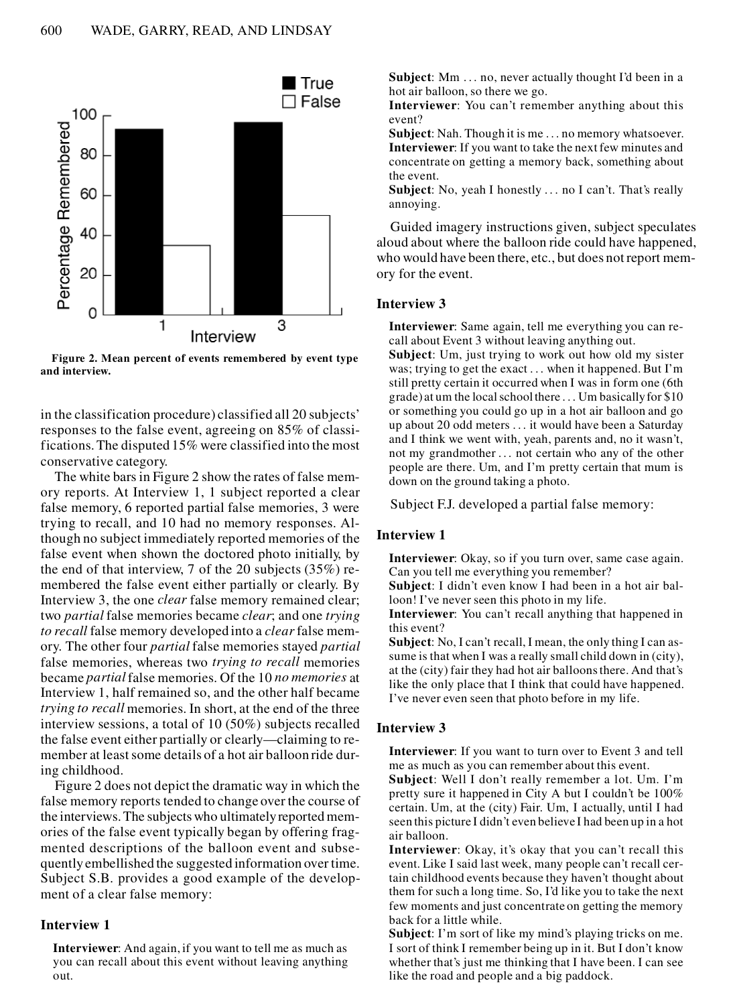

**Figure 2. Mean percent of events remembered by event type and interview.**

in the classification procedure) classified all 20 subjects' responses to the false event, agreeing on 85% of classifications. The disputed 15% were classified into the most conservative category.

The white bars in Figure 2 show the rates of false memory reports. At Interview 1, 1 subject reported a clear false memory, 6 reported partial false memories, 3 were trying to recall, and 10 had no memory responses. Although no subject immediately reported memories of the false event when shown the doctored photo initially, by the end of that interview, 7 of the 20 subjects (35%) remembered the false event either partially or clearly. By Interview 3, the one *clear* false memory remained clear; two *partial* false memories became *clear*; and one *trying to recall* false memory developedinto a *clear*false memory. The other four *partial* false memories stayed *partial* false memories, whereas two *trying to recall* memories became *partial*false memories. Of the 10 *no memories* at Interview 1, half remained so, and the other half became *trying to recall* memories. In short, at the end of the three interview sessions, a total of 10 (50%) subjects recalled the false event either partially or clearly—claiming to remember at least some details of a hot air balloon ride during childhood.

Figure 2 does not depict the dramatic way in which the false memory reports tended to change over the course of the interviews. The subjects who ultimately reported memories of the false event typically began by offering fragmented descriptions of the balloon event and subsequently embellished the suggested information over time. Subject S.B. provides a good example of the development of a clear false memory:

## **Interview 1**

**Interviewer**: And again, if you want to tell me as much as you can recall about this event without leaving anything out.

**Subject:** Mm ... no, never actually thought I'd been in a hot air balloon, so there we go.

**Interviewer**: You can't remember anything about this event?

**Subject**: Nah. Though it is me . . . no memory whatsoever. **Interviewer**: If you want to take the next few minutes and concentrate on getting a memory back, something about the event.

**Subject:** No, yeah I honestly ... no I can't. That's really annoying.

Guided imagery instructions given, subject speculates aloud about where the balloon ride could have happened, who would have been there, etc., but does not report memory for the event.

#### **Interview 3**

**Interviewer**: Same again, tell me everything you can recall about Event 3 without leaving anything out.

**Subject**: Um, just trying to work out how old my sister was; trying to get the exact . . . when it happened. But I'm still pretty certain it occurred when I was in form one (6th grade) at um the local school there . . . Um basically for \$10 or something you could go up in a hot air balloon and go up about 20 odd meters . . . it would have been a Saturday and I think we went with, yeah, parents and, no it wasn't, not my grandmother . . . not certain who any of the other people are there. Um, and I'm pretty certain that mum is down on the ground taking a photo.

Subject F.J. developed a partial false memory:

#### **Interview 1**

**Interviewer**: Okay, so if you turn over, same case again. Can you tell me everything you remember?

**Subject**: I didn't even know I had been in a hot air balloon! I've never seen this photo in my life.

**Interviewer**: You can't recall anything that happened in this event?

**Subject**: No, I can't recall, I mean, the only thing I can assume is that when I was a really small child down in (city), at the (city) fair they had hot air balloons there. And that's like the only place that I think that could have happened. I've never even seen that photo before in my life.

#### **Interview 3**

**Interviewer**: If you want to turn over to Event 3 and tell me as much as you can remember about this event.

**Subject**: Well I don't really remember a lot. Um. I'm pretty sure it happened in City A but I couldn't be 100% certain. Um, at the (city) Fair. Um, I actually, until I had seen this picture I didn't even believe I had been up in a hot air balloon.

**Interviewer**: Okay, it's okay that you can't recall this event. Like I said last week, many people can't recall certain childhood events because they haven't thought about them for such a long time. So, I'd like you to take the next few moments and just concentrate on getting the memory back for a little while.

**Subject**: I'm sort of like my mind's playing tricks on me. I sort of think I remember being up in it. But I don't know whether that's just me thinking that I have been. I can see like the road and people and a big paddock.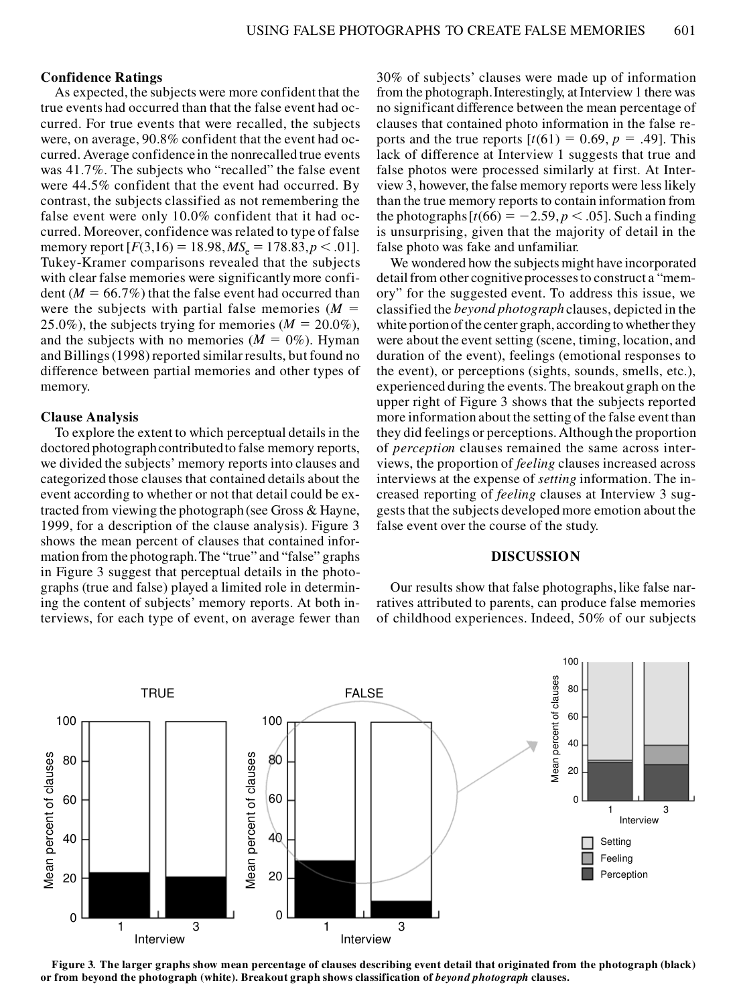### **Confidence Ratings**

As expected, the subjects were more confident that the true events had occurred than that the false event had occurred. For true events that were recalled, the subjects were, on average, 90.8% confident that the event had occurred. Average confidencein the nonrecalled true events was 41.7%. The subjects who "recalled" the false event were 44.5% confident that the event had occurred. By contrast, the subjects classified as not remembering the false event were only 10.0% confident that it had occurred. Moreover, confidence was related to type of false memory report  $[F(3,16) = 18.98, MS_e = 178.83, p < .01]$ . Tukey-Kramer comparisons revealed that the subjects with clear false memories were significantly more confident  $(M = 66.7\%)$  that the false event had occurred than were the subjects with partial false memories  $(M =$ 25.0%), the subjects trying for memories  $(M = 20.0\%)$ , and the subjects with no memories  $(M = 0\%)$ . Hyman and Billings (1998) reported similar results, but found no difference between partial memories and other types of memory.

### **Clause Analysis**

To explore the extent to which perceptual details in the doctored photograph contributed to false memory reports, we divided the subjects' memory reports into clauses and categorized those clauses that contained details about the event according to whether or not that detail could be extracted from viewing the photograph (see Gross & Hayne, 1999, for a description of the clause analysis). Figure 3 shows the mean percent of clauses that contained information from the photograph.The "true" and "false" graphs in Figure 3 suggest that perceptual details in the photographs (true and false) played a limited role in determining the content of subjects' memory reports. At both interviews, for each type of event, on average fewer than

30% of subjects' clauses were made up of information from the photograph.Interestingly, at Interview 1 there was no significant difference between the mean percentage of clauses that contained photo information in the false reports and the true reports  $[t(61) = 0.69, p = .49]$ . This lack of difference at Interview 1 suggests that true and false photos were processed similarly at first. At Interview 3, however, the false memory reports were less likely than the true memory reports to contain information from the photographs  $[t(66) = -2.59, p < .05]$ . Such a finding is unsurprising, given that the majority of detail in the false photo was fake and unfamiliar.

We wondered how the subjects might have incorporated detail from other cognitive processes to construct a "memory" for the suggested event. To address this issue, we classified the *beyond photograph* clauses, depicted in the white portion of the center graph, according to whether they were about the event setting (scene, timing, location, and duration of the event), feelings (emotional responses to the event), or perceptions (sights, sounds, smells, etc.), experienced during the events. The breakout graph on the upper right of Figure 3 shows that the subjects reported more information about the setting of the false event than they did feelings or perceptions. Although the proportion of *perception* clauses remained the same across interviews, the proportion of *feeling* clauses increased across interviews at the expense of *setting* information. The increased reporting of *feeling* clauses at Interview 3 suggests that the subjects developed more emotion about the false event over the course of the study.

#### **DISCUSSION**

Our results show that false photographs, like false narratives attributed to parents, can produce false memories of childhood experiences. Indeed, 50% of our subjects



**Figure 3***.* **The larger graphs show mean percentage of clauses describing event detail that originated from the photograph (black) or from beyond the photograph (white). Breakout graph shows classification of** *beyond photograph* **clauses.**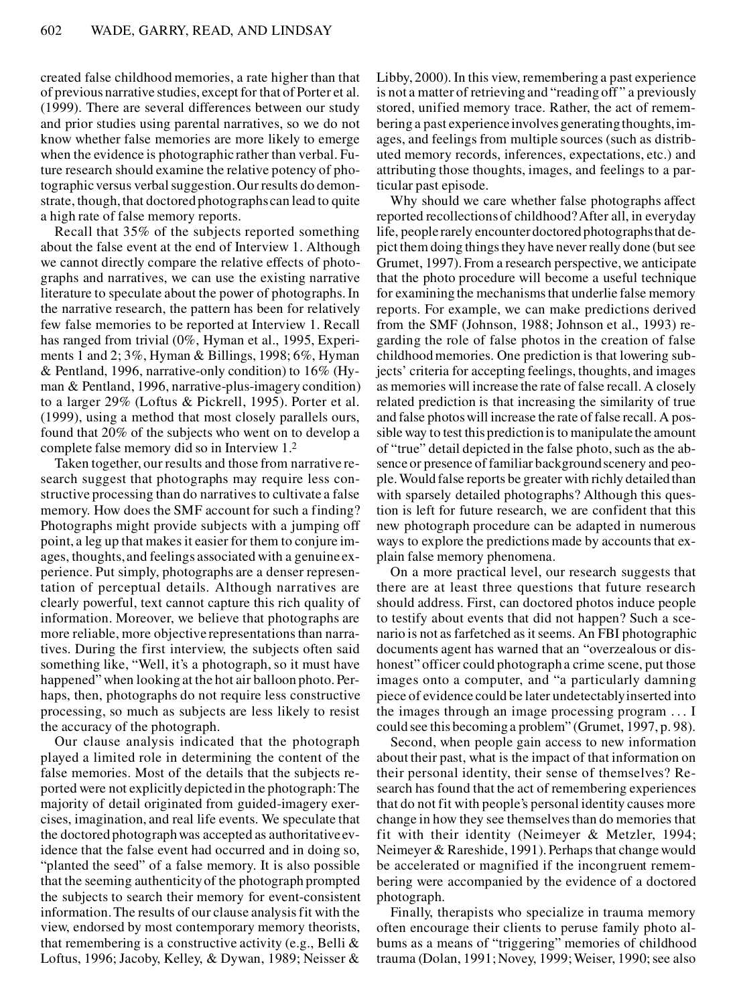created false childhood memories, a rate higher than that of previous narrative studies, except for that of Porter et al. (1999). There are several differences between our study and prior studies using parental narratives, so we do not know whether false memories are more likely to emerge when the evidence is photographic rather than verbal. Future research should examine the relative potency of photographic versus verbal suggestion.Our results do demonstrate, though, that doctored photographscan lead to quite a high rate of false memory reports.

Recall that 35% of the subjects reported something about the false event at the end of Interview 1. Although we cannot directly compare the relative effects of photographs and narratives, we can use the existing narrative literature to speculate about the power of photographs. In the narrative research, the pattern has been for relatively few false memories to be reported at Interview 1. Recall has ranged from trivial (0%, Hyman et al., 1995, Experiments 1 and 2; 3%, Hyman & Billings, 1998; 6%, Hyman & Pentland, 1996, narrative-only condition) to 16% (Hyman & Pentland, 1996, narrative-plus-imagery condition) to a larger 29% (Loftus & Pickrell, 1995). Porter et al. (1999), using a method that most closely parallels ours, found that 20% of the subjects who went on to develop a complete false memory did so in Interview 1.2

Taken together, our results and those from narrative research suggest that photographs may require less constructive processing than do narratives to cultivate a false memory. How does the SMF account for such a finding? Photographs might provide subjects with a jumping off point, a leg up that makes it easier for them to conjure images, thoughts, and feelings associated with a genuine experience. Put simply, photographs are a denser representation of perceptual details. Although narratives are clearly powerful, text cannot capture this rich quality of information. Moreover, we believe that photographs are more reliable, more objective representations than narratives. During the first interview, the subjects often said something like, "Well, it's a photograph, so it must have happened" when looking at the hot air balloon photo. Perhaps, then, photographs do not require less constructive processing, so much as subjects are less likely to resist the accuracy of the photograph.

Our clause analysis indicated that the photograph played a limited role in determining the content of the false memories. Most of the details that the subjects reported were not explicitly depictedin the photograph:The majority of detail originated from guided-imagery exercises, imagination, and real life events. We speculate that the doctored photograph was accepted as authoritative evidence that the false event had occurred and in doing so, "planted the seed" of a false memory. It is also possible that the seeming authenticity of the photograph prompted the subjects to search their memory for event-consistent information. The results of our clause analysis fit with the view, endorsed by most contemporary memory theorists, that remembering is a constructive activity (e.g., Belli  $\&$ Loftus, 1996; Jacoby, Kelley, & Dywan, 1989; Neisser &

Libby, 2000). In this view, remembering a past experience is not a matter of retrieving and "reading off " a previously stored, unified memory trace. Rather, the act of remembering a past experienceinvolves generatingthoughts,images, and feelings from multiple sources (such as distributed memory records, inferences, expectations, etc.) and attributing those thoughts, images, and feelings to a particular past episode.

Why should we care whether false photographs affect reported recollections of childhood?After all, in everyday life, people rarely encounter doctored photographsthat depict them doing things they have never really done (but see Grumet, 1997). From a research perspective, we anticipate that the photo procedure will become a useful technique for examining the mechanisms that underlie false memory reports. For example, we can make predictions derived from the SMF (Johnson, 1988; Johnson et al., 1993) regarding the role of false photos in the creation of false childhood memories. One prediction is that lowering subjects' criteria for accepting feelings, thoughts, and images as memories will increase the rate of false recall. A closely related prediction is that increasing the similarity of true and false photoswill increase the rate of false recall. A possible way to test this prediction is to manipulate the amount of "true" detail depicted in the false photo, such as the absence or presence of familiar background scenery and people.Would false reports be greater with richly detailedthan with sparsely detailed photographs? Although this question is left for future research, we are confident that this new photograph procedure can be adapted in numerous ways to explore the predictions made by accounts that explain false memory phenomena.

On a more practical level, our research suggests that there are at least three questions that future research should address. First, can doctored photos induce people to testify about events that did not happen? Such a scenario is not as farfetched as it seems. An FBI photographic documents agent has warned that an "overzealous or dishonest" officer could photograph a crime scene, put those images onto a computer, and "a particularly damning piece of evidence could be later undetectablyinserted into the images through an image processing program . . . I could see this becoming a problem" (Grumet, 1997, p. 98).

Second, when people gain access to new information about their past, what is the impact of that information on their personal identity, their sense of themselves? Research has found that the act of remembering experiences that do not fit with people's personal identity causes more change in how they see themselves than do memories that fit with their identity (Neimeyer & Metzler, 1994; Neimeyer & Rareshide, 1991). Perhaps that change would be accelerated or magnified if the incongruent remembering were accompanied by the evidence of a doctored photograph.

Finally, therapists who specialize in trauma memory often encourage their clients to peruse family photo albums as a means of "triggering" memories of childhood trauma (Dolan, 1991; Novey, 1999;Weiser, 1990; see also